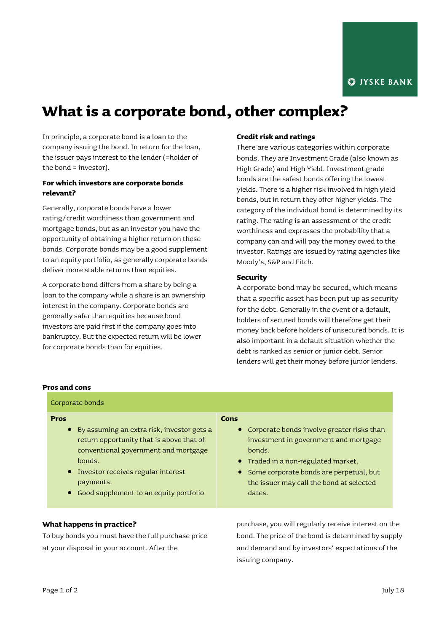# **What is a corporate bond, other complex?**

In principle, a corporate bond is a loan to the company issuing the bond. In return for the loan, the issuer pays interest to the lender (=holder of the bond = investor).

## **For which investors are corporate bonds relevant?**

Generally, corporate bonds have a lower rating/credit worthiness than government and mortgage bonds, but as an investor you have the opportunity of obtaining a higher return on these bonds. Corporate bonds may be a good supplement to an equity portfolio, as generally corporate bonds deliver more stable returns than equities.

A corporate bond differs from a share by being a loan to the company while a share is an ownership interest in the company. Corporate bonds are generally safer than equities because bond investors are paid first if the company goes into bankruptcy. But the expected return will be lower for corporate bonds than for equities.

## **Credit risk and ratings**

There are various categories within corporate bonds. They are Investment Grade (also known as High Grade) and High Yield. Investment grade bonds are the safest bonds offering the lowest yields. There is a higher risk involved in high yield bonds, but in return they offer higher yields. The category of the individual bond is determined by its rating. The rating is an assessment of the credit worthiness and expresses the probability that a company can and will pay the money owed to the investor. Ratings are issued by rating agencies like Moody's, S&P and Fitch.

## **Security**

A corporate bond may be secured, which means that a specific asset has been put up as security for the debt. Generally in the event of a default, holders of secured bonds will therefore get their money back before holders of unsecured bonds. It is also important in a default situation whether the debt is ranked as senior or junior debt. Senior lenders will get their money before junior lenders.

### **Pros and cons**

| Corporate bonds                                   |                                                      |
|---------------------------------------------------|------------------------------------------------------|
| <b>Pros</b>                                       | Cons                                                 |
| • By assuming an extra risk, investor gets a      | Corporate bonds involve greater risks than           |
| return opportunity that is above that of          | investment in government and mortgage                |
| conventional government and mortgage              | bonds.                                               |
| bonds.                                            | • Traded in a non-regulated market.                  |
| • Investor receives regular interest              | Some corporate bonds are perpetual, but              |
| payments.                                         | the issuer may call the bond at selected             |
| • Good supplement to an equity portfolio          | dates.                                               |
| What happens in practice?                         | purchase, you will regularly receive interest on the |
| Te buu honde vau must houethe full museboog price | hand The price of the hand is determined business.   |

To buy bonds you must have the full purchase price at your disposal in your account. After the

bond. The price of the bond is determined by supply and demand and by investors' expectations of the issuing company.